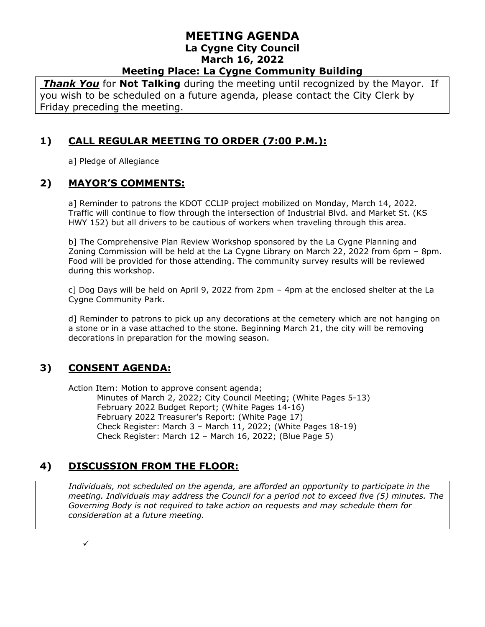*Thank You* for **Not Talking** during the meeting until recognized by the Mayor. If you wish to be scheduled on a future agenda, please contact the City Clerk by Friday preceding the meeting.

# **1) CALL REGULAR MEETING TO ORDER (7:00 P.M.):**

a] Pledge of Allegiance

## **2) MAYOR'S COMMENTS:**

a] Reminder to patrons the KDOT CCLIP project mobilized on Monday, March 14, 2022. Traffic will continue to flow through the intersection of Industrial Blvd. and Market St. (KS HWY 152) but all drivers to be cautious of workers when traveling through this area.

b] The Comprehensive Plan Review Workshop sponsored by the La Cygne Planning and Zoning Commission will be held at the La Cygne Library on March 22, 2022 from 6pm – 8pm. Food will be provided for those attending. The community survey results will be reviewed during this workshop.

c] Dog Days will be held on April 9, 2022 from 2pm – 4pm at the enclosed shelter at the La Cygne Community Park.

d] Reminder to patrons to pick up any decorations at the cemetery which are not hanging on a stone or in a vase attached to the stone. Beginning March 21, the city will be removing decorations in preparation for the mowing season.

# **3) CONSENT AGENDA:**

Action Item: Motion to approve consent agenda; Minutes of March 2, 2022; City Council Meeting; (White Pages 5-13) February 2022 Budget Report; (White Pages 14-16) February 2022 Treasurer's Report: (White Page 17) Check Register: March 3 – March 11, 2022; (White Pages 18-19) Check Register: March 12 – March 16, 2022; (Blue Page 5)

# **4) DISCUSSION FROM THE FLOOR:**

*Individuals, not scheduled on the agenda, are afforded an opportunity to participate in the meeting. Individuals may address the Council for a period not to exceed five (5) minutes. The Governing Body is not required to take action on requests and may schedule them for consideration at a future meeting.* 

✓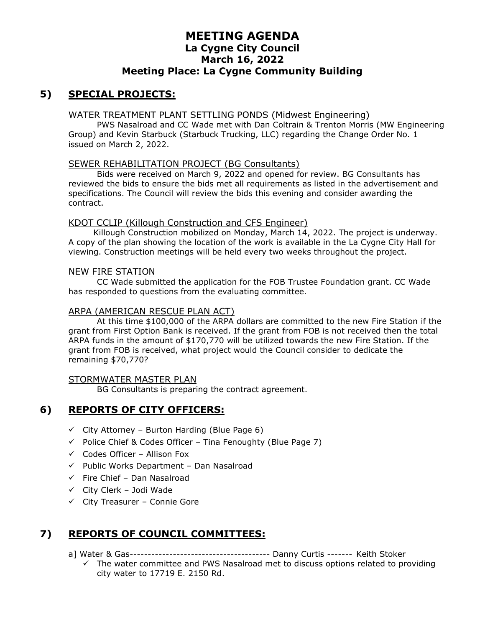# **5) SPECIAL PROJECTS:**

#### WATER TREATMENT PLANT SETTLING PONDS (Midwest Engineering)

PWS Nasalroad and CC Wade met with Dan Coltrain & Trenton Morris (MW Engineering Group) and Kevin Starbuck (Starbuck Trucking, LLC) regarding the Change Order No. 1 issued on March 2, 2022.

#### SEWER REHABILITATION PROJECT (BG Consultants)

Bids were received on March 9, 2022 and opened for review. BG Consultants has reviewed the bids to ensure the bids met all requirements as listed in the advertisement and specifications. The Council will review the bids this evening and consider awarding the contract.

#### KDOT CCLIP (Killough Construction and CFS Engineer)

Killough Construction mobilized on Monday, March 14, 2022. The project is underway. A copy of the plan showing the location of the work is available in the La Cygne City Hall for viewing. Construction meetings will be held every two weeks throughout the project.

#### NEW FIRE STATION

CC Wade submitted the application for the FOB Trustee Foundation grant. CC Wade has responded to questions from the evaluating committee.

#### ARPA (AMERICAN RESCUE PLAN ACT)

At this time \$100,000 of the ARPA dollars are committed to the new Fire Station if the grant from First Option Bank is received. If the grant from FOB is not received then the total ARPA funds in the amount of \$170,770 will be utilized towards the new Fire Station. If the grant from FOB is received, what project would the Council consider to dedicate the remaining \$70,770?

#### STORMWATER MASTER PLAN

BG Consultants is preparing the contract agreement.

#### **6) REPORTS OF CITY OFFICERS:**

- $\checkmark$  City Attorney Burton Harding (Blue Page 6)
- $\checkmark$  Police Chief & Codes Officer Tina Fenoughty (Blue Page 7)
- $\checkmark$  Codes Officer Allison Fox
- $\checkmark$  Public Works Department Dan Nasalroad
- $\checkmark$  Fire Chief Dan Nasalroad
- ✓ City Clerk Jodi Wade
- ✓ City Treasurer Connie Gore

# **7) REPORTS OF COUNCIL COMMITTEES:**

- a] Water & Gas--------------------------------------- Danny Curtis ------- Keith Stoker
	- $\checkmark$  The water committee and PWS Nasalroad met to discuss options related to providing city water to 17719 E. 2150 Rd.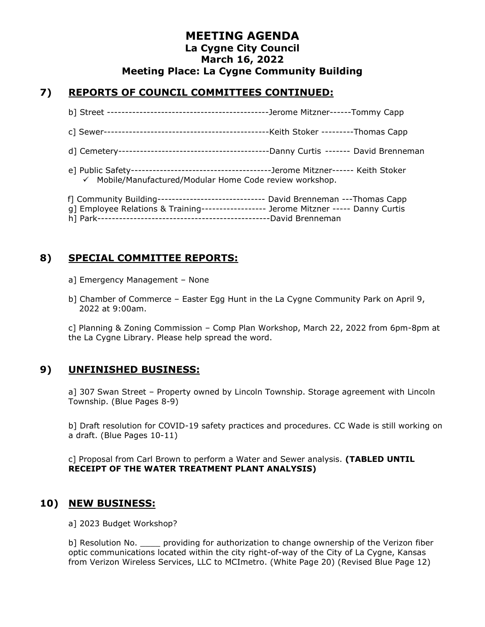## **7) REPORTS OF COUNCIL COMMITTEES CONTINUED:**

- b] Street ---------------------------------------------Jerome Mitzner------Tommy Capp
- c] Sewer----------------------------------------------Keith Stoker ---------Thomas Capp
- d] Cemetery------------------------------------------Danny Curtis ------- David Brenneman
- e] Public Safety---------------------------------------Jerome Mitzner------ Keith Stoker ✓ Mobile/Manufactured/Modular Home Code review workshop.

| f] Community Building------------------------------- David Brenneman ---Thomas Capp |  |
|-------------------------------------------------------------------------------------|--|
| g] Employee Relations & Training----------------- Jerome Mitzner ----- Danny Curtis |  |
|                                                                                     |  |

# **8) SPECIAL COMMITTEE REPORTS:**

- a] Emergency Management None
- b] Chamber of Commerce Easter Egg Hunt in the La Cygne Community Park on April 9, 2022 at 9:00am.

c] Planning & Zoning Commission – Comp Plan Workshop, March 22, 2022 from 6pm-8pm at the La Cygne Library. Please help spread the word.

## **9) UNFINISHED BUSINESS:**

a] 307 Swan Street – Property owned by Lincoln Township. Storage agreement with Lincoln Township. (Blue Pages 8-9)

b] Draft resolution for COVID-19 safety practices and procedures. CC Wade is still working on a draft. (Blue Pages 10-11)

c] Proposal from Carl Brown to perform a Water and Sewer analysis. **(TABLED UNTIL RECEIPT OF THE WATER TREATMENT PLANT ANALYSIS)**

## **10) NEW BUSINESS:**

a] 2023 Budget Workshop?

b] Resolution No. \_\_\_\_\_ providing for authorization to change ownership of the Verizon fiber optic communications located within the city right-of-way of the City of La Cygne, Kansas from Verizon Wireless Services, LLC to MCImetro. (White Page 20) (Revised Blue Page 12)